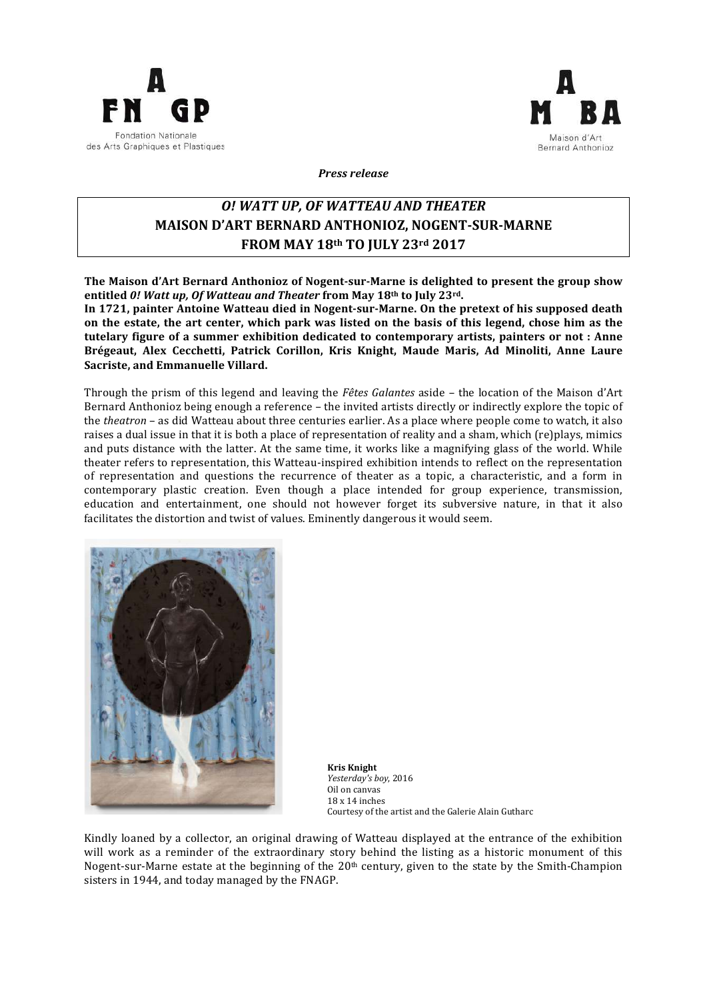



*Press release* 

## *O! WATT UP, OF WATTEAU AND THEATER* **MAISON D'ART BERNARD ANTHONIOZ, NOGENT-SUR-MARNE FROM 
MAY 
18th TO JULY 
23rd 
2017**

The Maison d'Art Bernard Anthonioz of Nogent-sur-Marne is delighted to present the group show entitled 0! Watt up, Of Watteau and Theater from May 18<sup>th</sup> to July 23<sup>rd</sup>.

In 1721, painter Antoine Watteau died in Nogent-sur-Marne. On the pretext of his supposed death on the estate, the art center, which park was listed on the basis of this legend, chose him as the tutelary figure of a summer exhibition dedicated to contemporary artists, painters or not : Anne Brégeaut, Alex Cecchetti, Patrick Corillon, Kris Knight, Maude Maris, Ad Minoliti, Anne Laure **Sacriste, and Emmanuelle Villard.** 

Through the prism of this legend and leaving the *Fêtes Galantes* aside – the location of the Maison d'Art Bernard Anthonioz being enough a reference – the invited artists directly or indirectly explore the topic of the *theatron* – as did Watteau about three centuries earlier. As a place where people come to watch, it also raises a dual issue in that it is both a place of representation of reality and a sham, which (re)plays, mimics and puts distance with the latter. At the same time, it works like a magnifying glass of the world. While theater refers to representation, this Watteau-inspired exhibition intends to reflect on the representation of representation and questions the recurrence of theater as a topic, a characteristic, and a form in contemporary plastic creation. Even though a place intended for group experience, transmission, education and entertainment, one should not however forget its subversive nature, in that it also facilitates the distortion and twist of values. Eminently dangerous it would seem.



**Kris 
Knight** Yesterday's boy, 2016 Oil on canvas 18 x 14 inches Courtesy of the artist and the Galerie Alain Gutharc

Kindly loaned by a collector, an original drawing of Watteau displayed at the entrance of the exhibition will work as a reminder of the extraordinary story behind the listing as a historic monument of this Nogent-sur-Marne estate at the beginning of the  $20<sup>th</sup>$  century, given to the state by the Smith-Champion sisters in 1944, and today managed by the FNAGP.